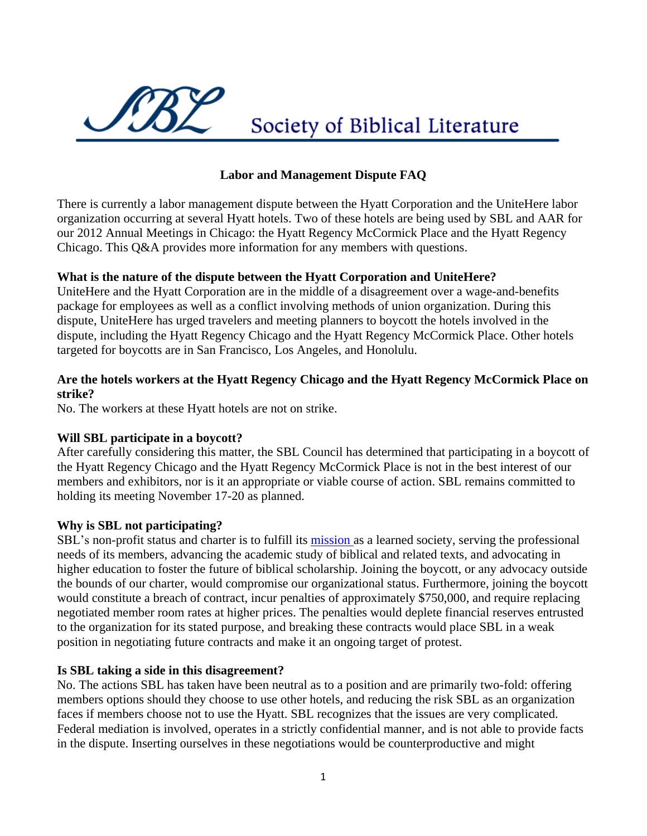

# **Labor and Management Dispute FAQ**

There is currently a labor management dispute between the Hyatt Corporation and the UniteHere labor organization occurring at several Hyatt hotels. Two of these hotels are being used by SBL and AAR for our 2012 Annual Meetings in Chicago: the Hyatt Regency McCormick Place and the Hyatt Regency Chicago. This Q&A provides more information for any members with questions.

## **What is the nature of the dispute between the Hyatt Corporation and UniteHere?**

UniteHere and the Hyatt Corporation are in the middle of a disagreement over a wage-and-benefits package for employees as well as a conflict involving methods of union organization. During this dispute, UniteHere has urged travelers and meeting planners to boycott the hotels involved in the dispute, including the Hyatt Regency Chicago and the Hyatt Regency McCormick Place. Other hotels targeted for boycotts are in San Francisco, Los Angeles, and Honolulu.

## **Are the hotels workers at the Hyatt Regency Chicago and the Hyatt Regency McCormick Place on strike?**

No. The workers at these Hyatt hotels are not on strike.

#### **Will SBL participate in a boycott?**

After carefully considering this matter, the SBL Council has determined that participating in a boycott of the Hyatt Regency Chicago and the Hyatt Regency McCormick Place is not in the best interest of our members and exhibitors, nor is it an appropriate or viable course of action. SBL remains committed to holding its meeting November 17-20 as planned.

#### **Why is SBL not participating?**

SBL's non-profit status and charter is to fulfill its [mission a](http://www.sbl-site.org/aboutus.aspx)s a learned society, serving the professional needs of its members, advancing the academic study of biblical and related texts, and advocating in higher education to foster the future of biblical scholarship. Joining the boycott, or any advocacy outside the bounds of our charter, would compromise our organizational status. Furthermore, joining the boycott would constitute a breach of contract, incur penalties of approximately \$750,000, and require replacing negotiated member room rates at higher prices. The penalties would deplete financial reserves entrusted to the organization for its stated purpose, and breaking these contracts would place SBL in a weak position in negotiating future contracts and make it an ongoing target of protest.

#### **Is SBL taking a side in this disagreement?**

No. The actions SBL has taken have been neutral as to a position and are primarily two-fold: offering members options should they choose to use other hotels, and reducing the risk SBL as an organization faces if members choose not to use the Hyatt. SBL recognizes that the issues are very complicated. Federal mediation is involved, operates in a strictly confidential manner, and is not able to provide facts in the dispute. Inserting ourselves in these negotiations would be counterproductive and might